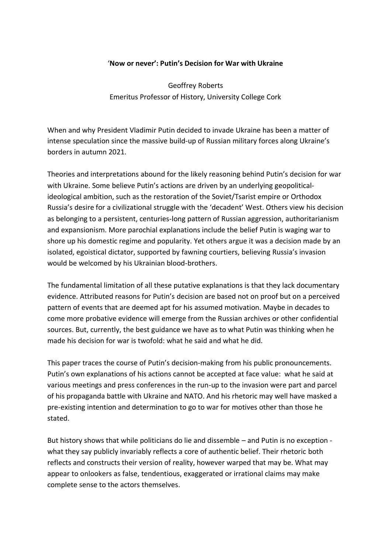#### '**Now or never': Putin's Decision for War with Ukraine**

Geoffrey Roberts Emeritus Professor of History, University College Cork

When and why President Vladimir Putin decided to invade Ukraine has been a matter of intense speculation since the massive build-up of Russian military forces along Ukraine's borders in autumn 2021.

Theories and interpretations abound for the likely reasoning behind Putin's decision for war with Ukraine. Some believe Putin's actions are driven by an underlying geopoliticalideological ambition, such as the restoration of the Soviet/Tsarist empire or Orthodox Russia's desire for a civilizational struggle with the 'decadent' West. Others view his decision as belonging to a persistent, centuries-long pattern of Russian aggression, authoritarianism and expansionism. More parochial explanations include the belief Putin is waging war to shore up his domestic regime and popularity. Yet others argue it was a decision made by an isolated, egoistical dictator, supported by fawning courtiers, believing Russia's invasion would be welcomed by his Ukrainian blood-brothers.

The fundamental limitation of all these putative explanations is that they lack documentary evidence. Attributed reasons for Putin's decision are based not on proof but on a perceived pattern of events that are deemed apt for his assumed motivation. Maybe in decades to come more probative evidence will emerge from the Russian archives or other confidential sources. But, currently, the best guidance we have as to what Putin was thinking when he made his decision for war is twofold: what he said and what he did.

This paper traces the course of Putin's decision-making from his public pronouncements. Putin's own explanations of his actions cannot be accepted at face value: what he said at various meetings and press conferences in the run-up to the invasion were part and parcel of his propaganda battle with Ukraine and NATO. And his rhetoric may well have masked a pre-existing intention and determination to go to war for motives other than those he stated.

But history shows that while politicians do lie and dissemble – and Putin is no exception what they say publicly invariably reflects a core of authentic belief. Their rhetoric both reflects and constructs their version of reality, however warped that may be. What may appear to onlookers as false, tendentious, exaggerated or irrational claims may make complete sense to the actors themselves.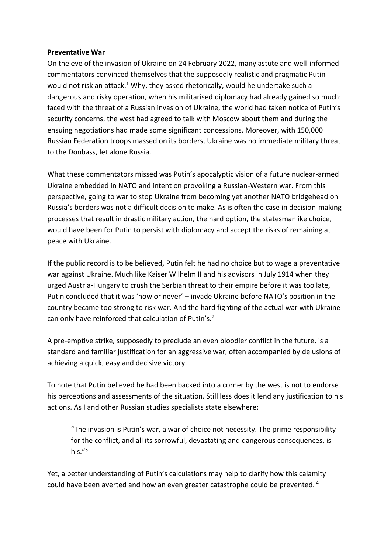#### **Preventative War**

On the eve of the invasion of Ukraine on 24 February 2022, many astute and well-informed commentators convinced themselves that the supposedly realistic and pragmatic Putin would not risk an attack.<sup>1</sup> Why, they asked rhetorically, would he undertake such a dangerous and risky operation, when his militarised diplomacy had already gained so much: faced with the threat of a Russian invasion of Ukraine, the world had taken notice of Putin's security concerns, the west had agreed to talk with Moscow about them and during the ensuing negotiations had made some significant concessions. Moreover, with 150,000 Russian Federation troops massed on its borders, Ukraine was no immediate military threat to the Donbass, let alone Russia.

What these commentators missed was Putin's apocalyptic vision of a future nuclear-armed Ukraine embedded in NATO and intent on provoking a Russian-Western war. From this perspective, going to war to stop Ukraine from becoming yet another NATO bridgehead on Russia's borders was not a difficult decision to make. As is often the case in decision-making processes that result in drastic military action, the hard option, the statesmanlike choice, would have been for Putin to persist with diplomacy and accept the risks of remaining at peace with Ukraine.

If the public record is to be believed, Putin felt he had no choice but to wage a preventative war against Ukraine. Much like Kaiser Wilhelm II and his advisors in July 1914 when they urged Austria-Hungary to crush the Serbian threat to their empire before it was too late, Putin concluded that it was 'now or never' – invade Ukraine before NATO's position in the country became too strong to risk war. And the hard fighting of the actual war with Ukraine can only have reinforced that calculation of Putin's.<sup>2</sup>

A pre-emptive strike, supposedly to preclude an even bloodier conflict in the future, is a standard and familiar justification for an aggressive war, often accompanied by delusions of achieving a quick, easy and decisive victory.

To note that Putin believed he had been backed into a corner by the west is not to endorse his perceptions and assessments of the situation. Still less does it lend any justification to his actions. As I and other Russian studies specialists state elsewhere:

"The invasion is Putin's war, a war of choice not necessity. The prime responsibility for the conflict, and all its sorrowful, devastating and dangerous consequences, is his." 3

Yet, a better understanding of Putin's calculations may help to clarify how this calamity could have been averted and how an even greater catastrophe could be prevented.  $4$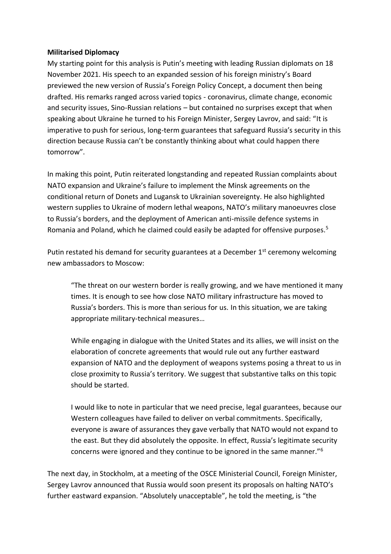#### **Militarised Diplomacy**

My starting point for this analysis is Putin's meeting with leading Russian diplomats on 18 November 2021. His speech to an expanded session of his foreign ministry's Board previewed the new version of Russia's Foreign Policy Concept, a document then being drafted. His remarks ranged across varied topics - coronavirus, climate change, economic and security issues, Sino-Russian relations – but contained no surprises except that when speaking about Ukraine he turned to his Foreign Minister, Sergey Lavrov, and said: "It is imperative to push for serious, long-term guarantees that safeguard Russia's security in this direction because Russia can't be constantly thinking about what could happen there tomorrow".

In making this point, Putin reiterated longstanding and repeated Russian complaints about NATO expansion and Ukraine's failure to implement the Minsk agreements on the conditional return of Donets and Lugansk to Ukrainian sovereignty. He also highlighted western supplies to Ukraine of modern lethal weapons, NATO's military manoeuvres close to Russia's borders, and the deployment of American anti-missile defence systems in Romania and Poland, which he claimed could easily be adapted for offensive purposes.<sup>5</sup>

Putin restated his demand for security guarantees at a December  $1<sup>st</sup>$  ceremony welcoming new ambassadors to Moscow:

"The threat on our western border is really growing, and we have mentioned it many times. It is enough to see how close NATO military infrastructure has moved to Russia's borders. This is more than serious for us. In this situation, we are taking appropriate military-technical measures…

While engaging in dialogue with the United States and its allies, we will insist on the elaboration of concrete agreements that would rule out any further eastward expansion of NATO and the deployment of weapons systems posing a threat to us in close proximity to Russia's territory. We suggest that substantive talks on this topic should be started.

I would like to note in particular that we need precise, legal guarantees, because our Western colleagues have failed to deliver on verbal commitments. Specifically, everyone is aware of assurances they gave verbally that NATO would not expand to the east. But they did absolutely the opposite. In effect, Russia's legitimate security concerns were ignored and they continue to be ignored in the same manner."<sup>6</sup>

The next day, in Stockholm, at a meeting of the OSCE Ministerial Council, Foreign Minister, Sergey Lavrov announced that Russia would soon present its proposals on halting NATO's further eastward expansion. "Absolutely unacceptable", he told the meeting, is "the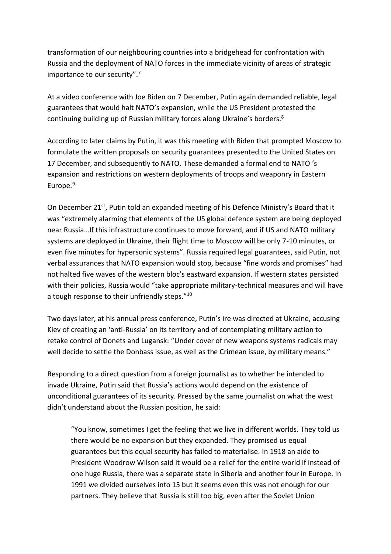transformation of our neighbouring countries into a bridgehead for confrontation with Russia and the deployment of NATO forces in the immediate vicinity of areas of strategic importance to our security".<sup>7</sup>

At a video conference with Joe Biden on 7 December, Putin again demanded reliable, legal guarantees that would halt NATO's expansion, while the US President protested the continuing building up of Russian military forces along Ukraine's borders.<sup>8</sup>

According to later claims by Putin, it was this meeting with Biden that prompted Moscow to formulate the written proposals on security guarantees presented to the United States on 17 December, and subsequently to NATO. These demanded a formal end to NATO 's expansion and restrictions on western deployments of troops and weaponry in Eastern Europe.<sup>9</sup>

On December 21<sup>st</sup>, Putin told an expanded meeting of his Defence Ministry's Board that it was "extremely alarming that elements of the US global defence system are being deployed near Russia…If this infrastructure continues to move forward, and if US and NATO military systems are deployed in Ukraine, their flight time to Moscow will be only 7-10 minutes, or even five minutes for hypersonic systems". Russia required legal guarantees, said Putin, not verbal assurances that NATO expansion would stop, because "fine words and promises" had not halted five waves of the western bloc's eastward expansion. If western states persisted with their policies, Russia would "take appropriate military-technical measures and will have a tough response to their unfriendly steps."<sup>10</sup>

Two days later, at his annual press conference, Putin's ire was directed at Ukraine, accusing Kiev of creating an 'anti-Russia' on its territory and of contemplating military action to retake control of Donets and Lugansk: "Under cover of new weapons systems radicals may well decide to settle the Donbass issue, as well as the Crimean issue, by military means."

Responding to a direct question from a foreign journalist as to whether he intended to invade Ukraine, Putin said that Russia's actions would depend on the existence of unconditional guarantees of its security. Pressed by the same journalist on what the west didn't understand about the Russian position, he said:

"You know, sometimes I get the feeling that we live in different worlds. They told us there would be no expansion but they expanded. They promised us equal guarantees but this equal security has failed to materialise. In 1918 an aide to President Woodrow Wilson said it would be a relief for the entire world if instead of one huge Russia, there was a separate state in Siberia and another four in Europe. In 1991 we divided ourselves into 15 but it seems even this was not enough for our partners. They believe that Russia is still too big, even after the Soviet Union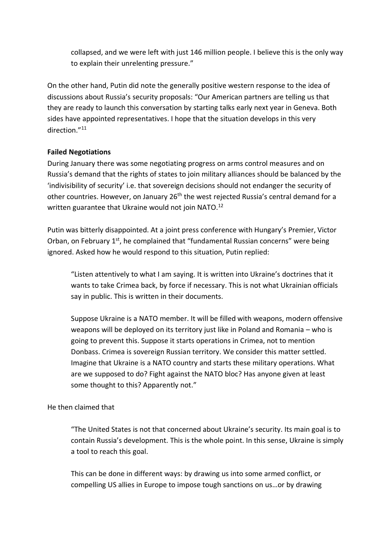collapsed, and we were left with just 146 million people. I believe this is the only way to explain their unrelenting pressure."

On the other hand, Putin did note the generally positive western response to the idea of discussions about Russia's security proposals: "Our American partners are telling us that they are ready to launch this conversation by starting talks early next year in Geneva. Both sides have appointed representatives. I hope that the situation develops in this very direction."<sup>11</sup>

## **Failed Negotiations**

During January there was some negotiating progress on arms control measures and on Russia's demand that the rights of states to join military alliances should be balanced by the 'indivisibility of security' i.e. that sovereign decisions should not endanger the security of other countries. However, on January 26<sup>th</sup> the west rejected Russia's central demand for a written guarantee that Ukraine would not join NATO.<sup>12</sup>

Putin was bitterly disappointed. At a joint press conference with Hungary's Premier, Victor Orban, on February  $1^{st}$ , he complained that "fundamental Russian concerns" were being ignored. Asked how he would respond to this situation, Putin replied:

"Listen attentively to what I am saying. It is written into Ukraine's doctrines that it wants to take Crimea back, by force if necessary. This is not what Ukrainian officials say in public. This is written in their documents.

Suppose Ukraine is a NATO member. It will be filled with weapons, modern offensive weapons will be deployed on its territory just like in Poland and Romania – who is going to prevent this. Suppose it starts operations in Crimea, not to mention Donbass. Crimea is sovereign Russian territory. We consider this matter settled. Imagine that Ukraine is a NATO country and starts these military operations. What are we supposed to do? Fight against the NATO bloc? Has anyone given at least some thought to this? Apparently not."

## He then claimed that

"The United States is not that concerned about Ukraine's security. Its main goal is to contain Russia's development. This is the whole point. In this sense, Ukraine is simply a tool to reach this goal.

This can be done in different ways: by drawing us into some armed conflict, or compelling US allies in Europe to impose tough sanctions on us…or by drawing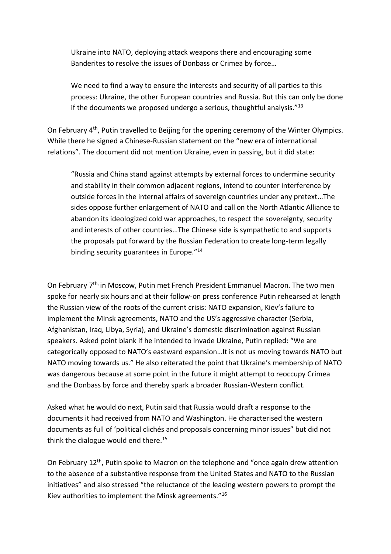Ukraine into NATO, deploying attack weapons there and encouraging some Banderites to resolve the issues of Donbass or Crimea by force…

We need to find a way to ensure the interests and security of all parties to this process: Ukraine, the other European countries and Russia. But this can only be done if the documents we proposed undergo a serious, thoughtful analysis. $"13$ 

On February 4<sup>th</sup>, Putin travelled to Beijing for the opening ceremony of the Winter Olympics. While there he signed a Chinese-Russian statement on the "new era of international relations". The document did not mention Ukraine, even in passing, but it did state:

"Russia and China stand against attempts by external forces to undermine security and stability in their common adjacent regions, intend to counter interference by outside forces in the internal affairs of sovereign countries under any pretext…The sides oppose further enlargement of NATO and call on the North Atlantic Alliance to abandon its ideologized cold war approaches, to respect the sovereignty, security and interests of other countries…The Chinese side is sympathetic to and supports the proposals put forward by the Russian Federation to create long-term legally binding security guarantees in Europe."<sup>14</sup>

On February 7th, in Moscow, Putin met French President Emmanuel Macron. The two men spoke for nearly six hours and at their follow-on press conference Putin rehearsed at length the Russian view of the roots of the current crisis: NATO expansion, Kiev's failure to implement the Minsk agreements, NATO and the US's aggressive character (Serbia, Afghanistan, Iraq, Libya, Syria), and Ukraine's domestic discrimination against Russian speakers. Asked point blank if he intended to invade Ukraine, Putin replied: "We are categorically opposed to NATO's eastward expansion…It is not us moving towards NATO but NATO moving towards us." He also reiterated the point that Ukraine's membership of NATO was dangerous because at some point in the future it might attempt to reoccupy Crimea and the Donbass by force and thereby spark a broader Russian-Western conflict.

Asked what he would do next, Putin said that Russia would draft a response to the documents it had received from NATO and Washington. He characterised the western documents as full of 'political clichés and proposals concerning minor issues" but did not think the dialogue would end there. $15$ 

On February 12<sup>th</sup>, Putin spoke to Macron on the telephone and "once again drew attention to the absence of a substantive response from the United States and NATO to the Russian initiatives" and also stressed "the reluctance of the leading western powers to prompt the Kiev authorities to implement the Minsk agreements."16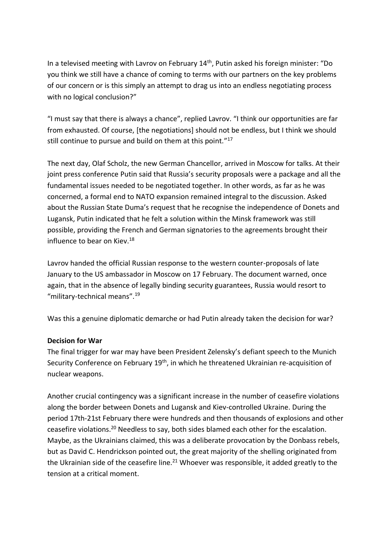In a televised meeting with Lavrov on February 14th, Putin asked his foreign minister: "Do you think we still have a chance of coming to terms with our partners on the key problems of our concern or is this simply an attempt to drag us into an endless negotiating process with no logical conclusion?"

"I must say that there is always a chance", replied Lavrov. "I think our opportunities are far from exhausted. Of course, [the negotiations] should not be endless, but I think we should still continue to pursue and build on them at this point." 17

The next day, Olaf Scholz, the new German Chancellor, arrived in Moscow for talks. At their joint press conference Putin said that Russia's security proposals were a package and all the fundamental issues needed to be negotiated together. In other words, as far as he was concerned, a formal end to NATO expansion remained integral to the discussion. Asked about the Russian State Duma's request that he recognise the independence of Donets and Lugansk, Putin indicated that he felt a solution within the Minsk framework was still possible, providing the French and German signatories to the agreements brought their influence to bear on Kiev.<sup>18</sup>

Lavrov handed the official Russian response to the western counter-proposals of late January to the US ambassador in Moscow on 17 February. The document warned, once again, that in the absence of legally binding security guarantees, Russia would resort to "military-technical means".<sup>19</sup>

Was this a genuine diplomatic demarche or had Putin already taken the decision for war?

# **Decision for War**

The final trigger for war may have been President Zelensky's defiant speech to the Munich Security Conference on February 19<sup>th</sup>, in which he threatened Ukrainian re-acquisition of nuclear weapons.

Another crucial contingency was a significant increase in the number of ceasefire violations along the border between Donets and Lugansk and Kiev-controlled Ukraine. During the period 17th-21st February there were hundreds and then thousands of explosions and other ceasefire violations.<sup>20</sup> Needless to say, both sides blamed each other for the escalation. Maybe, as the Ukrainians claimed, this was a deliberate provocation by the Donbass rebels, but as David C. Hendrickson pointed out, the great majority of the shelling originated from the Ukrainian side of the ceasefire line.<sup>21</sup> Whoever was responsible, it added greatly to the tension at a critical moment.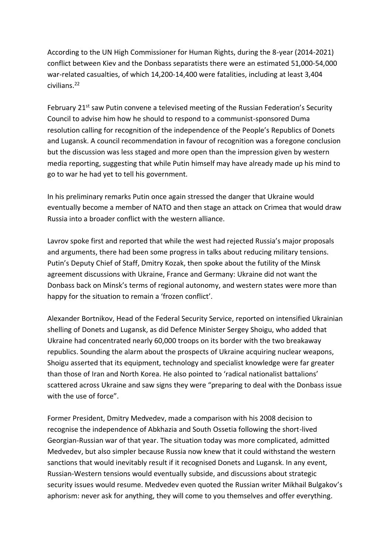According to the UN High Commissioner for Human Rights, during the 8-year (2014-2021) conflict between Kiev and the Donbass separatists there were an estimated 51,000-54,000 war-related casualties, of which 14,200-14,400 were fatalities, including at least 3,404 civilians.<sup>22</sup>

February 21<sup>st</sup> saw Putin convene a televised meeting of the Russian Federation's Security Council to advise him how he should to respond to a communist-sponsored Duma resolution calling for recognition of the independence of the People's Republics of Donets and Lugansk. A council recommendation in favour of recognition was a foregone conclusion but the discussion was less staged and more open than the impression given by western media reporting, suggesting that while Putin himself may have already made up his mind to go to war he had yet to tell his government.

In his preliminary remarks Putin once again stressed the danger that Ukraine would eventually become a member of NATO and then stage an attack on Crimea that would draw Russia into a broader conflict with the western alliance.

Lavrov spoke first and reported that while the west had rejected Russia's major proposals and arguments, there had been some progress in talks about reducing military tensions. Putin's Deputy Chief of Staff, Dmitry Kozak, then spoke about the futility of the Minsk agreement discussions with Ukraine, France and Germany: Ukraine did not want the Donbass back on Minsk's terms of regional autonomy, and western states were more than happy for the situation to remain a 'frozen conflict'.

Alexander Bortnikov, Head of the Federal Security Service, reported on intensified Ukrainian shelling of Donets and Lugansk, as did Defence Minister Sergey Shoigu, who added that Ukraine had concentrated nearly 60,000 troops on its border with the two breakaway republics. Sounding the alarm about the prospects of Ukraine acquiring nuclear weapons, Shoigu asserted that its equipment, technology and specialist knowledge were far greater than those of Iran and North Korea. He also pointed to 'radical nationalist battalions' scattered across Ukraine and saw signs they were "preparing to deal with the Donbass issue with the use of force".

Former President, Dmitry Medvedev, made a comparison with his 2008 decision to recognise the independence of Abkhazia and South Ossetia following the short-lived Georgian-Russian war of that year. The situation today was more complicated, admitted Medvedev, but also simpler because Russia now knew that it could withstand the western sanctions that would inevitably result if it recognised Donets and Lugansk. In any event, Russian-Western tensions would eventually subside, and discussions about strategic security issues would resume. Medvedev even quoted the Russian writer Mikhail Bulgakov's aphorism: never ask for anything, they will come to you themselves and offer everything.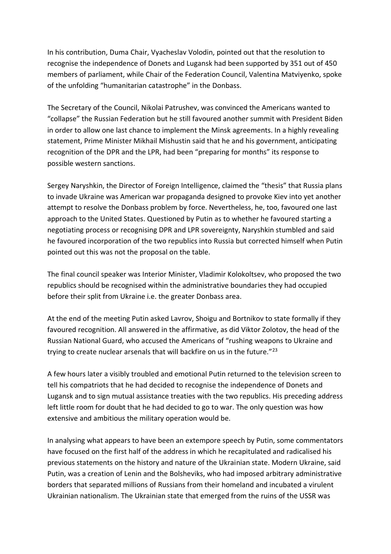In his contribution, Duma Chair, Vyacheslav Volodin, pointed out that the resolution to recognise the independence of Donets and Lugansk had been supported by 351 out of 450 members of parliament, while Chair of the Federation Council, Valentina Matviyenko, spoke of the unfolding "humanitarian catastrophe" in the Donbass.

The Secretary of the Council, Nikolai Patrushev, was convinced the Americans wanted to "collapse" the Russian Federation but he still favoured another summit with President Biden in order to allow one last chance to implement the Minsk agreements. In a highly revealing statement, Prime Minister Mikhail Mishustin said that he and his government, anticipating recognition of the DPR and the LPR, had been "preparing for months" its response to possible western sanctions.

Sergey Naryshkin, the Director of Foreign Intelligence, claimed the "thesis" that Russia plans to invade Ukraine was American war propaganda designed to provoke Kiev into yet another attempt to resolve the Donbass problem by force. Nevertheless, he, too, favoured one last approach to the United States. Questioned by Putin as to whether he favoured starting a negotiating process or recognising DPR and LPR sovereignty, Naryshkin stumbled and said he favoured incorporation of the two republics into Russia but corrected himself when Putin pointed out this was not the proposal on the table.

The final council speaker was Interior Minister, Vladimir Kolokoltsev, who proposed the two republics should be recognised within the administrative boundaries they had occupied before their split from Ukraine i.e. the greater Donbass area.

At the end of the meeting Putin asked Lavrov, Shoigu and Bortnikov to state formally if they favoured recognition. All answered in the affirmative, as did Viktor Zolotov, the head of the Russian National Guard, who accused the Americans of "rushing weapons to Ukraine and trying to create nuclear arsenals that will backfire on us in the future."<sup>23</sup>

A few hours later a visibly troubled and emotional Putin returned to the television screen to tell his compatriots that he had decided to recognise the independence of Donets and Lugansk and to sign mutual assistance treaties with the two republics. His preceding address left little room for doubt that he had decided to go to war. The only question was how extensive and ambitious the military operation would be.

In analysing what appears to have been an extempore speech by Putin, some commentators have focused on the first half of the address in which he recapitulated and radicalised his previous statements on the history and nature of the Ukrainian state. Modern Ukraine, said Putin, was a creation of Lenin and the Bolsheviks, who had imposed arbitrary administrative borders that separated millions of Russians from their homeland and incubated a virulent Ukrainian nationalism. The Ukrainian state that emerged from the ruins of the USSR was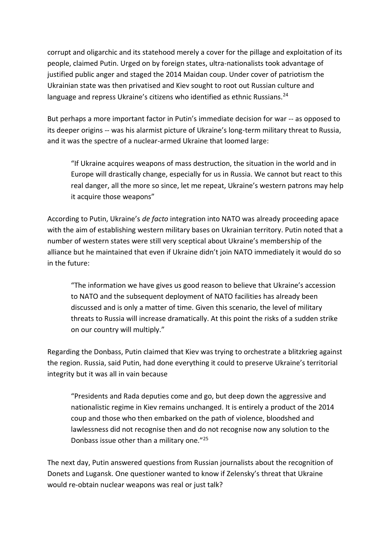corrupt and oligarchic and its statehood merely a cover for the pillage and exploitation of its people, claimed Putin. Urged on by foreign states, ultra-nationalists took advantage of justified public anger and staged the 2014 Maidan coup. Under cover of patriotism the Ukrainian state was then privatised and Kiev sought to root out Russian culture and language and repress Ukraine's citizens who identified as ethnic Russians.<sup>24</sup>

But perhaps a more important factor in Putin's immediate decision for war -- as opposed to its deeper origins -- was his alarmist picture of Ukraine's long-term military threat to Russia, and it was the spectre of a nuclear-armed Ukraine that loomed large:

"If Ukraine acquires weapons of mass destruction, the situation in the world and in Europe will drastically change, especially for us in Russia. We cannot but react to this real danger, all the more so since, let me repeat, Ukraine's western patrons may help it acquire those weapons"

According to Putin, Ukraine's *de facto* integration into NATO was already proceeding apace with the aim of establishing western military bases on Ukrainian territory. Putin noted that a number of western states were still very sceptical about Ukraine's membership of the alliance but he maintained that even if Ukraine didn't join NATO immediately it would do so in the future:

"The information we have gives us good reason to believe that Ukraine's accession to NATO and the subsequent deployment of NATO facilities has already been discussed and is only a matter of time. Given this scenario, the level of military threats to Russia will increase dramatically. At this point the risks of a sudden strike on our country will multiply."

Regarding the Donbass, Putin claimed that Kiev was trying to orchestrate a blitzkrieg against the region. Russia, said Putin, had done everything it could to preserve Ukraine's territorial integrity but it was all in vain because

"Presidents and Rada deputies come and go, but deep down the aggressive and nationalistic regime in Kiev remains unchanged. It is entirely a product of the 2014 coup and those who then embarked on the path of violence, bloodshed and lawlessness did not recognise then and do not recognise now any solution to the Donbass issue other than a military one."<sup>25</sup>

The next day, Putin answered questions from Russian journalists about the recognition of Donets and Lugansk. One questioner wanted to know if Zelensky's threat that Ukraine would re-obtain nuclear weapons was real or just talk?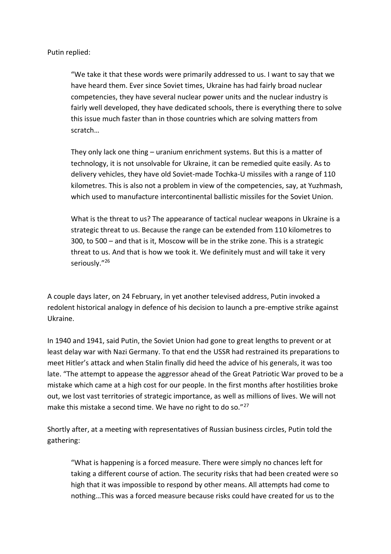Putin replied:

"We take it that these words were primarily addressed to us. I want to say that we have heard them. Ever since Soviet times, Ukraine has had fairly broad nuclear competencies, they have several nuclear power units and the nuclear industry is fairly well developed, they have dedicated schools, there is everything there to solve this issue much faster than in those countries which are solving matters from scratch…

They only lack one thing – uranium enrichment systems. But this is a matter of technology, it is not unsolvable for Ukraine, it can be remedied quite easily. As to delivery vehicles, they have old Soviet-made Tochka-U missiles with a range of 110 kilometres. This is also not a problem in view of the competencies, say, at Yuzhmash, which used to manufacture intercontinental ballistic missiles for the Soviet Union.

What is the threat to us? The appearance of tactical nuclear weapons in Ukraine is a strategic threat to us. Because the range can be extended from 110 kilometres to 300, to 500 – and that is it, Moscow will be in the strike zone. This is a strategic threat to us. And that is how we took it. We definitely must and will take it very seriously."<sup>26</sup>

A couple days later, on 24 February, in yet another televised address, Putin invoked a redolent historical analogy in defence of his decision to launch a pre-emptive strike against Ukraine.

In 1940 and 1941, said Putin, the Soviet Union had gone to great lengths to prevent or at least delay war with Nazi Germany. To that end the USSR had restrained its preparations to meet Hitler's attack and when Stalin finally did heed the advice of his generals, it was too late. "The attempt to appease the aggressor ahead of the Great Patriotic War proved to be a mistake which came at a high cost for our people. In the first months after hostilities broke out, we lost vast territories of strategic importance, as well as millions of lives. We will not make this mistake a second time. We have no right to do so."<sup>27</sup>

Shortly after, at a meeting with representatives of Russian business circles, Putin told the gathering:

"What is happening is a forced measure. There were simply no chances left for taking a different course of action. The security risks that had been created were so high that it was impossible to respond by other means. All attempts had come to nothing…This was a forced measure because risks could have created for us to the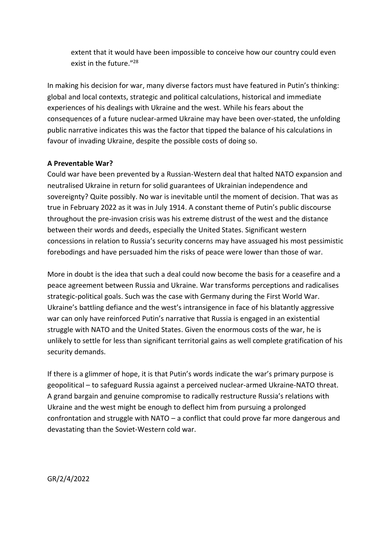extent that it would have been impossible to conceive how our country could even exist in the future."<sup>28</sup>

In making his decision for war, many diverse factors must have featured in Putin's thinking: global and local contexts, strategic and political calculations, historical and immediate experiences of his dealings with Ukraine and the west. While his fears about the consequences of a future nuclear-armed Ukraine may have been over-stated, the unfolding public narrative indicates this was the factor that tipped the balance of his calculations in favour of invading Ukraine, despite the possible costs of doing so.

## **A Preventable War?**

Could war have been prevented by a Russian-Western deal that halted NATO expansion and neutralised Ukraine in return for solid guarantees of Ukrainian independence and sovereignty? Quite possibly. No war is inevitable until the moment of decision. That was as true in February 2022 as it was in July 1914. A constant theme of Putin's public discourse throughout the pre-invasion crisis was his extreme distrust of the west and the distance between their words and deeds, especially the United States. Significant western concessions in relation to Russia's security concerns may have assuaged his most pessimistic forebodings and have persuaded him the risks of peace were lower than those of war.

More in doubt is the idea that such a deal could now become the basis for a ceasefire and a peace agreement between Russia and Ukraine. War transforms perceptions and radicalises strategic-political goals. Such was the case with Germany during the First World War. Ukraine's battling defiance and the west's intransigence in face of his blatantly aggressive war can only have reinforced Putin's narrative that Russia is engaged in an existential struggle with NATO and the United States. Given the enormous costs of the war, he is unlikely to settle for less than significant territorial gains as well complete gratification of his security demands.

If there is a glimmer of hope, it is that Putin's words indicate the war's primary purpose is geopolitical – to safeguard Russia against a perceived nuclear-armed Ukraine-NATO threat. A grand bargain and genuine compromise to radically restructure Russia's relations with Ukraine and the west might be enough to deflect him from pursuing a prolonged confrontation and struggle with NATO – a conflict that could prove far more dangerous and devastating than the Soviet-Western cold war.

GR/2/4/2022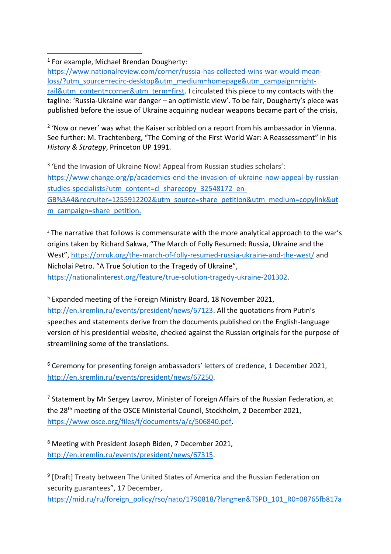<sup>2</sup> 'Now or never' was what the Kaiser scribbled on a report from his ambassador in Vienna. See further: M. Trachtenberg, "The Coming of the First World War: A Reassessment" in his *History & Strategy*, Princeton UP 1991.

<sup>3</sup> 'End the Invasion of Ukraine Now! Appeal from Russian studies scholars': [https://www.change.org/p/academics-end-the-invasion-of-ukraine-now-appeal-by-russian](https://www.change.org/p/academics-end-the-invasion-of-ukraine-now-appeal-by-russian-studies-specialists?utm_content=cl_sharecopy_32548172_en-GB%3A4&recruiter=1255912202&utm_source=share_petition&utm_medium=copylink&utm_campaign=share_petition)[studies-specialists?utm\\_content=cl\\_sharecopy\\_32548172\\_en-](https://www.change.org/p/academics-end-the-invasion-of-ukraine-now-appeal-by-russian-studies-specialists?utm_content=cl_sharecopy_32548172_en-GB%3A4&recruiter=1255912202&utm_source=share_petition&utm_medium=copylink&utm_campaign=share_petition)[GB%3A4&recruiter=1255912202&utm\\_source=share\\_petition&utm\\_medium=copylink&ut](https://www.change.org/p/academics-end-the-invasion-of-ukraine-now-appeal-by-russian-studies-specialists?utm_content=cl_sharecopy_32548172_en-GB%3A4&recruiter=1255912202&utm_source=share_petition&utm_medium=copylink&utm_campaign=share_petition) [m\\_campaign=share\\_petition.](https://www.change.org/p/academics-end-the-invasion-of-ukraine-now-appeal-by-russian-studies-specialists?utm_content=cl_sharecopy_32548172_en-GB%3A4&recruiter=1255912202&utm_source=share_petition&utm_medium=copylink&utm_campaign=share_petition)

<sup>4</sup> The narrative that follows is commensurate with the more analytical approach to the war's origins taken by Richard Sakwa, "The March of Folly Resumed: Russia, Ukraine and the West", <https://prruk.org/the-march-of-folly-resumed-russia-ukraine-and-the-west/> and Nicholai Petro. "A True Solution to the Tragedy of Ukraine", [https://nationalinterest.org/feature/true-solution-tragedy-ukraine-201302.](https://nationalinterest.org/feature/true-solution-tragedy-ukraine-201302)

<sup>5</sup> Expanded meeting of the Foreign Ministry Board, 18 November 2021, [http://en.kremlin.ru/events/president/news/67123.](http://en.kremlin.ru/events/president/news/67123) All the quotations from Putin's speeches and statements derive from the documents published on the English-language version of his presidential website, checked against the Russian originals for the purpose of streamlining some of the translations.

<sup>6</sup> Ceremony for presenting foreign ambassadors' letters of credence, 1 December 2021, [http://en.kremlin.ru/events/president/news/67250.](http://en.kremlin.ru/events/president/news/67250)

 $<sup>7</sup>$  Statement by Mr Sergey Lavrov, Minister of Foreign Affairs of the Russian Federation, at</sup> the 28th meeting of the OSCE Ministerial Council, Stockholm, 2 December 2021, [https://www.osce.org/files/f/documents/a/c/506840.pdf.](https://www.osce.org/files/f/documents/a/c/506840.pdf)

<sup>8</sup> Meeting with President Joseph Biden, 7 December 2021, [http://en.kremlin.ru/events/president/news/67315.](http://en.kremlin.ru/events/president/news/67315)

<sup>9</sup> [Draft] Treaty between The United States of America and the Russian Federation on security guarantees", 17 December,

[https://mid.ru/ru/foreign\\_policy/rso/nato/1790818/?lang=en&TSPD\\_101\\_R0=08765fb817a](https://mid.ru/ru/foreign_policy/rso/nato/1790818/?lang=en&TSPD_101_R0=08765fb817ab200089e5e1b97d09c2606ac7850ae1cbb5fe885e3cc9ee1d8ce3fac453c388b7c2ee086f1d522914300058f6a40cd82867c5bf2f3693a329e30181da4157d655f5ba298424da863cd3ba13d62ba95585bce2eba65cdd5e7a57a6693a329e30181da4157d655f5ba298424da863cd3ba13d62ba95585bce2eba65cdd5e7a57a6)

<sup>1</sup> For example, Michael Brendan Dougherty:

[https://www.nationalreview.com/corner/russia-has-collected-wins-war-would-mean](https://www.nationalreview.com/corner/russia-has-collected-wins-war-would-mean-loss/?utm_source=recirc-desktop&utm_medium=homepage&utm_campaign=right-rail&utm_content=corner&utm_term=first)[loss/?utm\\_source=recirc-desktop&utm\\_medium=homepage&utm\\_campaign=right](https://www.nationalreview.com/corner/russia-has-collected-wins-war-would-mean-loss/?utm_source=recirc-desktop&utm_medium=homepage&utm_campaign=right-rail&utm_content=corner&utm_term=first)[rail&utm\\_content=corner&utm\\_term=first.](https://www.nationalreview.com/corner/russia-has-collected-wins-war-would-mean-loss/?utm_source=recirc-desktop&utm_medium=homepage&utm_campaign=right-rail&utm_content=corner&utm_term=first) I circulated this piece to my contacts with the tagline: 'Russia-Ukraine war danger – an optimistic view'. To be fair, Dougherty's piece was published before the issue of Ukraine acquiring nuclear weapons became part of the crisis,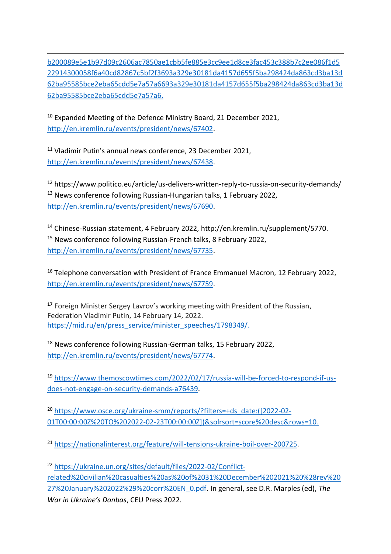[b200089e5e1b97d09c2606ac7850ae1cbb5fe885e3cc9ee1d8ce3fac453c388b7c2ee086f1d5](https://mid.ru/ru/foreign_policy/rso/nato/1790818/?lang=en&TSPD_101_R0=08765fb817ab200089e5e1b97d09c2606ac7850ae1cbb5fe885e3cc9ee1d8ce3fac453c388b7c2ee086f1d522914300058f6a40cd82867c5bf2f3693a329e30181da4157d655f5ba298424da863cd3ba13d62ba95585bce2eba65cdd5e7a57a6693a329e30181da4157d655f5ba298424da863cd3ba13d62ba95585bce2eba65cdd5e7a57a6) [22914300058f6a40cd82867c5bf2f3693a329e30181da4157d655f5ba298424da863cd3ba13d](https://mid.ru/ru/foreign_policy/rso/nato/1790818/?lang=en&TSPD_101_R0=08765fb817ab200089e5e1b97d09c2606ac7850ae1cbb5fe885e3cc9ee1d8ce3fac453c388b7c2ee086f1d522914300058f6a40cd82867c5bf2f3693a329e30181da4157d655f5ba298424da863cd3ba13d62ba95585bce2eba65cdd5e7a57a6693a329e30181da4157d655f5ba298424da863cd3ba13d62ba95585bce2eba65cdd5e7a57a6) [62ba95585bce2eba65cdd5e7a57a6693a329e30181da4157d655f5ba298424da863cd3ba13d](https://mid.ru/ru/foreign_policy/rso/nato/1790818/?lang=en&TSPD_101_R0=08765fb817ab200089e5e1b97d09c2606ac7850ae1cbb5fe885e3cc9ee1d8ce3fac453c388b7c2ee086f1d522914300058f6a40cd82867c5bf2f3693a329e30181da4157d655f5ba298424da863cd3ba13d62ba95585bce2eba65cdd5e7a57a6693a329e30181da4157d655f5ba298424da863cd3ba13d62ba95585bce2eba65cdd5e7a57a6) [62ba95585bce2eba65cdd5e7a57a6.](https://mid.ru/ru/foreign_policy/rso/nato/1790818/?lang=en&TSPD_101_R0=08765fb817ab200089e5e1b97d09c2606ac7850ae1cbb5fe885e3cc9ee1d8ce3fac453c388b7c2ee086f1d522914300058f6a40cd82867c5bf2f3693a329e30181da4157d655f5ba298424da863cd3ba13d62ba95585bce2eba65cdd5e7a57a6693a329e30181da4157d655f5ba298424da863cd3ba13d62ba95585bce2eba65cdd5e7a57a6)

 $10$  Expanded Meeting of the Defence Ministry Board, 21 December 2021, [http://en.kremlin.ru/events/president/news/67402.](http://en.kremlin.ru/events/president/news/67402)

<sup>11</sup> Vladimir Putin's annual news conference, 23 December 2021, [http://en.kremlin.ru/events/president/news/67438.](http://en.kremlin.ru/events/president/news/67438)

<sup>12</sup> https://www.politico.eu/article/us-delivers-written-reply-to-russia-on-security-demands/ <sup>13</sup> News conference following Russian-Hungarian talks, 1 February 2022, [http://en.kremlin.ru/events/president/news/67690.](http://en.kremlin.ru/events/president/news/67690)

<sup>14</sup> Chinese-Russian statement, 4 February 2022, http://en.kremlin.ru/supplement/5770. <sup>15</sup> News conference following Russian-French talks, 8 February 2022, [http://en.kremlin.ru/events/president/news/67735.](http://en.kremlin.ru/events/president/news/67735)

<sup>16</sup> Telephone conversation with President of France Emmanuel Macron, 12 February 2022, [http://en.kremlin.ru/events/president/news/67759.](http://en.kremlin.ru/events/president/news/67759)

**<sup>17</sup>** Foreign Minister Sergey Lavrov's working meeting with President of the Russian, Federation Vladimir Putin, 14 February 14, 2022. [https://mid.ru/en/press\\_service/minister\\_speeches/1798349/.](https://mid.ru/en/press_service/minister_speeches/1798349/)

<sup>18</sup> News conference following Russian-German talks, 15 February 2022, [http://en.kremlin.ru/events/president/news/67774.](http://en.kremlin.ru/events/president/news/67774)

<sup>19</sup> [https://www.themoscowtimes.com/2022/02/17/russia-will-be-forced-to-respond-if-us](https://www.themoscowtimes.com/2022/02/17/russia-will-be-forced-to-respond-if-us-does-not-engage-on-security-demands-a76439)[does-not-engage-on-security-demands-a76439.](https://www.themoscowtimes.com/2022/02/17/russia-will-be-forced-to-respond-if-us-does-not-engage-on-security-demands-a76439)

<sup>20</sup> [https://www.osce.org/ukraine-smm/reports/?filters=+ds\\_date:\(\[2022-02-](https://www.osce.org/ukraine-smm/reports/?filters=+ds_date:(%5b2022-02-01T00:00:00Z%20TO%202022-02-23T00:00:00Z%5d)&solrsort=score%20desc&rows=10) [01T00:00:00Z%20TO%202022-02-23T00:00:00Z\]\)&solrsort=score%20desc&rows=10.](https://www.osce.org/ukraine-smm/reports/?filters=+ds_date:(%5b2022-02-01T00:00:00Z%20TO%202022-02-23T00:00:00Z%5d)&solrsort=score%20desc&rows=10)

<sup>21</sup> [https://nationalinterest.org/feature/will-tensions-ukraine-boil-over-200725.](https://nationalinterest.org/feature/will-tensions-ukraine-boil-over-200725)

<sup>22</sup> [https://ukraine.un.org/sites/default/files/2022-02/Conflict](https://ukraine.un.org/sites/default/files/2022-02/Conflict-related%20civilian%20casualties%20as%20of%2031%20December%202021%20%28rev%2027%20January%202022%29%20corr%20EN_0.pdf)[related%20civilian%20casualties%20as%20of%2031%20December%202021%20%28rev%20](https://ukraine.un.org/sites/default/files/2022-02/Conflict-related%20civilian%20casualties%20as%20of%2031%20December%202021%20%28rev%2027%20January%202022%29%20corr%20EN_0.pdf) [27%20January%202022%29%20corr%20EN\\_0.pdf.](https://ukraine.un.org/sites/default/files/2022-02/Conflict-related%20civilian%20casualties%20as%20of%2031%20December%202021%20%28rev%2027%20January%202022%29%20corr%20EN_0.pdf) In general, see D.R. Marples (ed), *The War in Ukraine's Donbas*, CEU Press 2022.